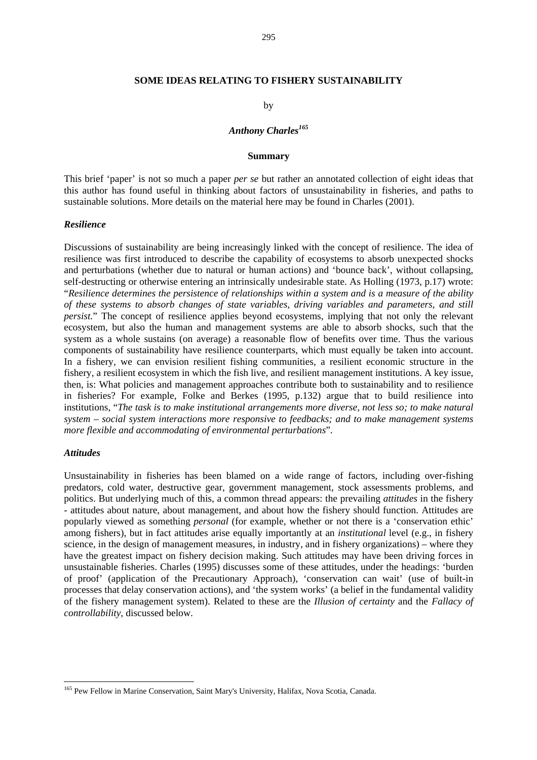#### **SOME IDEAS RELATING TO FISHERY SUSTAINABILITY**

#### by

## *Anthony Charles<sup>165</sup>*

#### **Summary**

This brief 'paper' is not so much a paper *per se* but rather an annotated collection of eight ideas that this author has found useful in thinking about factors of unsustainability in fisheries, and paths to sustainable solutions. More details on the material here may be found in Charles (2001).

#### *Resilience*

Discussions of sustainability are being increasingly linked with the concept of resilience. The idea of resilience was first introduced to describe the capability of ecosystems to absorb unexpected shocks and perturbations (whether due to natural or human actions) and 'bounce back', without collapsing, self-destructing or otherwise entering an intrinsically undesirable state. As Holling (1973, p.17) wrote: "*Resilience determines the persistence of relationships within a system and is a measure of the ability of these systems to absorb changes of state variables, driving variables and parameters, and still persist.*" The concept of resilience applies beyond ecosystems, implying that not only the relevant ecosystem, but also the human and management systems are able to absorb shocks, such that the system as a whole sustains (on average) a reasonable flow of benefits over time. Thus the various components of sustainability have resilience counterparts, which must equally be taken into account. In a fishery, we can envision resilient fishing communities, a resilient economic structure in the fishery, a resilient ecosystem in which the fish live, and resilient management institutions. A key issue, then, is: What policies and management approaches contribute both to sustainability and to resilience in fisheries? For example, Folke and Berkes (1995, p.132) argue that to build resilience into institutions, "*The task is to make institutional arrangements more diverse, not less so; to make natural system – social system interactions more responsive to feedbacks; and to make management systems more flexible and accommodating of environmental perturbations*".

#### *Attitudes*

 $\overline{a}$ 

Unsustainability in fisheries has been blamed on a wide range of factors, including over-fishing predators, cold water, destructive gear, government management, stock assessments problems, and politics. But underlying much of this, a common thread appears: the prevailing *attitudes* in the fishery - attitudes about nature, about management, and about how the fishery should function. Attitudes are popularly viewed as something *personal* (for example, whether or not there is a 'conservation ethic' among fishers), but in fact attitudes arise equally importantly at an *institutional* level (e.g., in fishery science, in the design of management measures, in industry, and in fishery organizations) – where they have the greatest impact on fishery decision making. Such attitudes may have been driving forces in unsustainable fisheries. Charles (1995) discusses some of these attitudes, under the headings: 'burden of proof' (application of the Precautionary Approach), 'conservation can wait' (use of built-in processes that delay conservation actions), and 'the system works' (a belief in the fundamental validity of the fishery management system). Related to these are the *Illusion of certainty* and the *Fallacy of controllability*, discussed below.

<sup>&</sup>lt;sup>165</sup> Pew Fellow in Marine Conservation, Saint Mary's University, Halifax, Nova Scotia, Canada.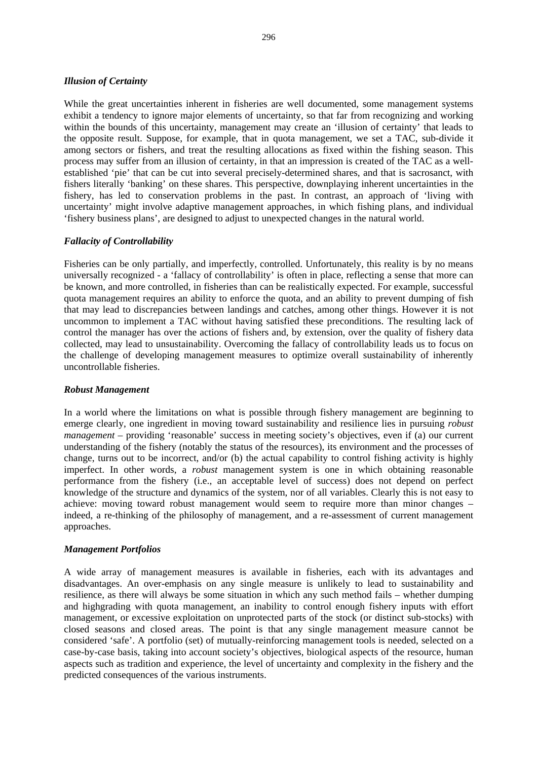### *Illusion of Certainty*

While the great uncertainties inherent in fisheries are well documented, some management systems exhibit a tendency to ignore major elements of uncertainty, so that far from recognizing and working within the bounds of this uncertainty, management may create an 'illusion of certainty' that leads to the opposite result. Suppose, for example, that in quota management, we set a TAC, sub-divide it among sectors or fishers, and treat the resulting allocations as fixed within the fishing season. This process may suffer from an illusion of certainty, in that an impression is created of the TAC as a wellestablished 'pie' that can be cut into several precisely-determined shares, and that is sacrosanct, with fishers literally 'banking' on these shares. This perspective, downplaying inherent uncertainties in the fishery, has led to conservation problems in the past. In contrast, an approach of 'living with uncertainty' might involve adaptive management approaches, in which fishing plans, and individual 'fishery business plans', are designed to adjust to unexpected changes in the natural world.

## *Fallacity of Controllability*

Fisheries can be only partially, and imperfectly, controlled. Unfortunately, this reality is by no means universally recognized - a 'fallacy of controllability' is often in place, reflecting a sense that more can be known, and more controlled, in fisheries than can be realistically expected. For example, successful quota management requires an ability to enforce the quota, and an ability to prevent dumping of fish that may lead to discrepancies between landings and catches, among other things. However it is not uncommon to implement a TAC without having satisfied these preconditions. The resulting lack of control the manager has over the actions of fishers and, by extension, over the quality of fishery data collected, may lead to unsustainability. Overcoming the fallacy of controllability leads us to focus on the challenge of developing management measures to optimize overall sustainability of inherently uncontrollable fisheries.

#### *Robust Management*

In a world where the limitations on what is possible through fishery management are beginning to emerge clearly, one ingredient in moving toward sustainability and resilience lies in pursuing *robust management* – providing 'reasonable' success in meeting society's objectives, even if (a) our current understanding of the fishery (notably the status of the resources), its environment and the processes of change, turns out to be incorrect, and/or (b) the actual capability to control fishing activity is highly imperfect. In other words, a *robust* management system is one in which obtaining reasonable performance from the fishery (i.e., an acceptable level of success) does not depend on perfect knowledge of the structure and dynamics of the system, nor of all variables. Clearly this is not easy to achieve: moving toward robust management would seem to require more than minor changes – indeed, a re-thinking of the philosophy of management, and a re-assessment of current management approaches.

#### *Management Portfolios*

A wide array of management measures is available in fisheries, each with its advantages and disadvantages. An over-emphasis on any single measure is unlikely to lead to sustainability and resilience, as there will always be some situation in which any such method fails – whether dumping and highgrading with quota management, an inability to control enough fishery inputs with effort management, or excessive exploitation on unprotected parts of the stock (or distinct sub-stocks) with closed seasons and closed areas. The point is that any single management measure cannot be considered 'safe'. A portfolio (set) of mutually-reinforcing management tools is needed, selected on a case-by-case basis, taking into account society's objectives, biological aspects of the resource, human aspects such as tradition and experience, the level of uncertainty and complexity in the fishery and the predicted consequences of the various instruments.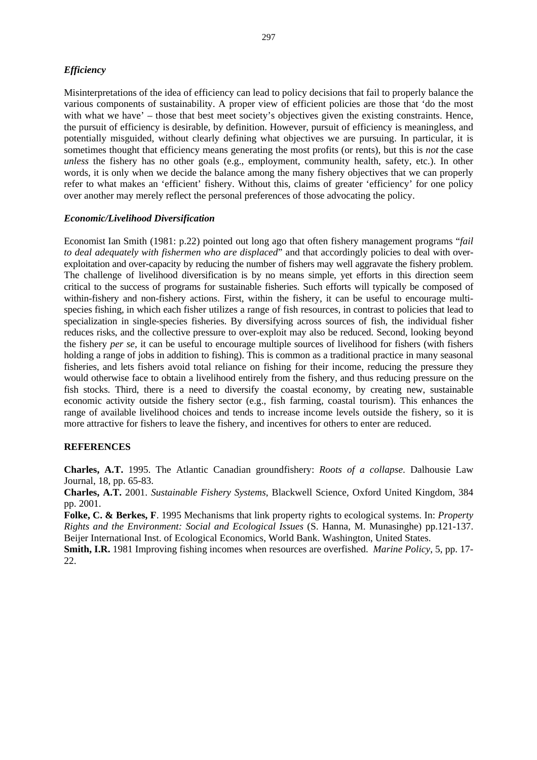## *Efficiency*

Misinterpretations of the idea of efficiency can lead to policy decisions that fail to properly balance the various components of sustainability. A proper view of efficient policies are those that 'do the most with what we have' – those that best meet society's objectives given the existing constraints. Hence, the pursuit of efficiency is desirable, by definition. However, pursuit of efficiency is meaningless, and potentially misguided, without clearly defining what objectives we are pursuing. In particular, it is sometimes thought that efficiency means generating the most profits (or rents), but this is *not* the case *unless* the fishery has no other goals (e.g., employment, community health, safety, etc.). In other words, it is only when we decide the balance among the many fishery objectives that we can properly refer to what makes an 'efficient' fishery. Without this, claims of greater 'efficiency' for one policy over another may merely reflect the personal preferences of those advocating the policy.

#### *Economic/Livelihood Diversification*

Economist Ian Smith (1981: p.22) pointed out long ago that often fishery management programs "*fail to deal adequately with fishermen who are displaced*" and that accordingly policies to deal with overexploitation and over-capacity by reducing the number of fishers may well aggravate the fishery problem. The challenge of livelihood diversification is by no means simple, yet efforts in this direction seem critical to the success of programs for sustainable fisheries. Such efforts will typically be composed of within-fishery and non-fishery actions. First, within the fishery, it can be useful to encourage multispecies fishing, in which each fisher utilizes a range of fish resources, in contrast to policies that lead to specialization in single-species fisheries. By diversifying across sources of fish, the individual fisher reduces risks, and the collective pressure to over-exploit may also be reduced. Second, looking beyond the fishery *per se*, it can be useful to encourage multiple sources of livelihood for fishers (with fishers holding a range of jobs in addition to fishing). This is common as a traditional practice in many seasonal fisheries, and lets fishers avoid total reliance on fishing for their income, reducing the pressure they would otherwise face to obtain a livelihood entirely from the fishery, and thus reducing pressure on the fish stocks. Third, there is a need to diversify the coastal economy, by creating new, sustainable economic activity outside the fishery sector (e.g., fish farming, coastal tourism). This enhances the range of available livelihood choices and tends to increase income levels outside the fishery, so it is more attractive for fishers to leave the fishery, and incentives for others to enter are reduced.

## **REFERENCES**

**Charles, A.T.** 1995. The Atlantic Canadian groundfishery: *Roots of a collapse*. Dalhousie Law Journal, 18, pp. 65-83.

**Charles, A.T.** 2001. *Sustainable Fishery Systems*, Blackwell Science, Oxford United Kingdom, 384 pp. 2001.

**Folke, C. & Berkes, F**. 1995 Mechanisms that link property rights to ecological systems. In: *Property Rights and the Environment: Social and Ecological Issues* (S. Hanna, M. Munasinghe) pp.121-137. Beijer International Inst. of Ecological Economics, World Bank. Washington, United States.

**Smith, I.R.** 1981 Improving fishing incomes when resources are overfished. *Marine Policy*, 5, pp. 17- 22.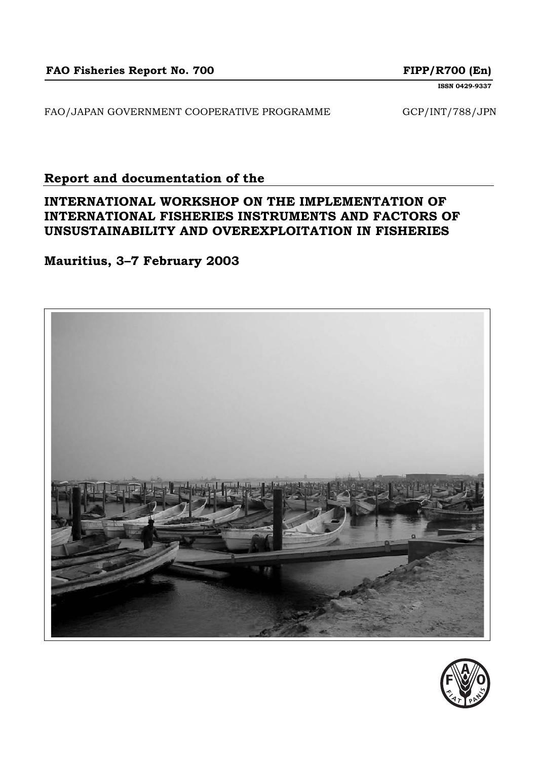FAO/JAPAN GOVERNMENT COOPERATIVE PROGRAMME GCP/INT/788/JPN

# **Report and documentation of the**

# **INTERNATIONAL WORKSHOP ON THE IMPLEMENTATION OF INTERNATIONAL FISHERIES INSTRUMENTS AND FACTORS OF UNSUSTAINABILITY AND OVEREXPLOITATION IN FISHERIES**

# **Mauritius, 3–7 February 2003**



**ISSN 0429-9337**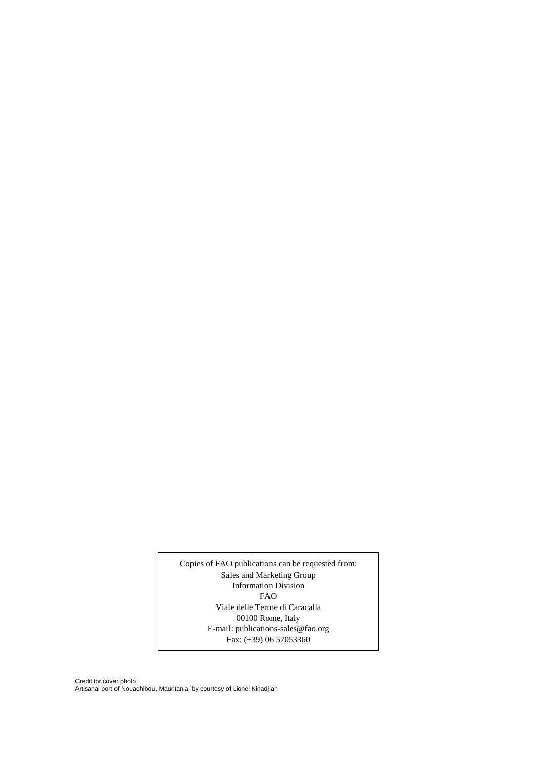Copies of FAO publications can be requested from: Sales and Marketing Group Information Division FAO Viale delle Terme di Caracalla 00100 Rome, Italy E-mail: publications-sales@fao.org Fax:  $(+39)$  06 57053360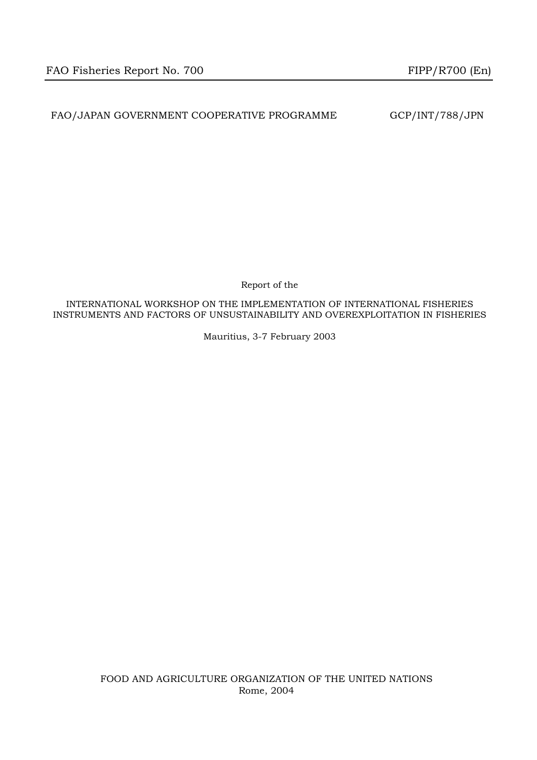FAO/JAPAN GOVERNMENT COOPERATIVE PROGRAMME GCP/INT/788/JPN

Report of the

INTERNATIONAL WORKSHOP ON THE IMPLEMENTATION OF INTERNATIONAL FISHERIES INSTRUMENTS AND FACTORS OF UNSUSTAINABILITY AND OVEREXPLOITATION IN FISHERIES

Mauritius, 3-7 February 2003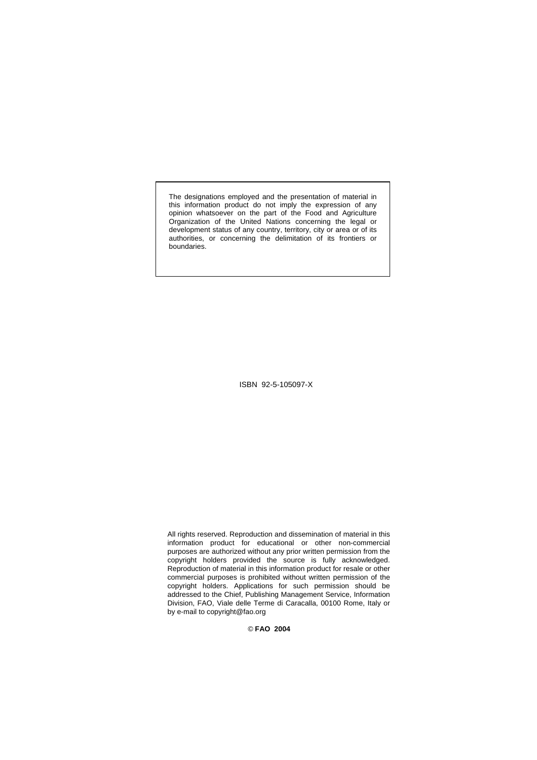The designations employed and the presentation of material in this information product do not imply the expression of any opinion whatsoever on the part of the Food and Agriculture Organization of the United Nations concerning the legal or development status of any country, territory, city or area or of its authorities, or concerning the delimitation of its frontiers or boundaries.

ISBN 92-5-105097-X

All rights reserved. Reproduction and dissemination of material in this information product for educational or other non-commercial purposes are authorized without any prior written permission from the copyright holders provided the source is fully acknowledged. Reproduction of material in this information product for resale or other commercial purposes is prohibited without written permission of the copyright holders. Applications for such permission should be addressed to the Chief, Publishing Management Service, Information Division, FAO, Viale delle Terme di Caracalla, 00100 Rome, Italy or by e-mail to copyright@fao.org

© **FAO 2004**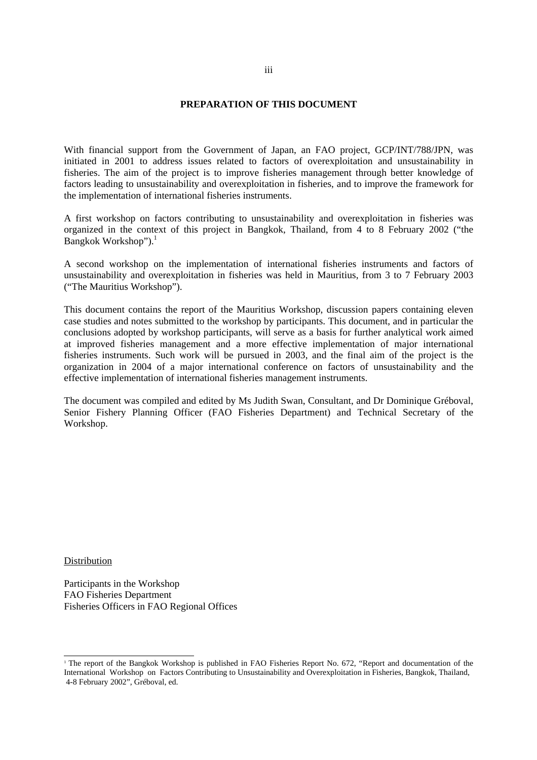#### **PREPARATION OF THIS DOCUMENT**

With financial support from the Government of Japan, an FAO project, GCP/INT/788/JPN, was initiated in 2001 to address issues related to factors of overexploitation and unsustainability in fisheries. The aim of the project is to improve fisheries management through better knowledge of factors leading to unsustainability and overexploitation in fisheries, and to improve the framework for the implementation of international fisheries instruments.

A first workshop on factors contributing to unsustainability and overexploitation in fisheries was organized in the context of this project in Bangkok, Thailand, from 4 to 8 February 2002 ("the Bangkok Workshop").<sup>1</sup>

A second workshop on the implementation of international fisheries instruments and factors of unsustainability and overexploitation in fisheries was held in Mauritius, from 3 to 7 February 2003 ("The Mauritius Workshop").

This document contains the report of the Mauritius Workshop, discussion papers containing eleven case studies and notes submitted to the workshop by participants. This document, and in particular the conclusions adopted by workshop participants, will serve as a basis for further analytical work aimed at improved fisheries management and a more effective implementation of major international fisheries instruments. Such work will be pursued in 2003, and the final aim of the project is the organization in 2004 of a major international conference on factors of unsustainability and the effective implementation of international fisheries management instruments.

The document was compiled and edited by Ms Judith Swan, Consultant, and Dr Dominique Gréboval, Senior Fishery Planning Officer (FAO Fisheries Department) and Technical Secretary of the Workshop.

Distribution

 $\overline{a}$ 

Participants in the Workshop FAO Fisheries Department Fisheries Officers in FAO Regional Offices

<sup>1</sup> The report of the Bangkok Workshop is published in FAO Fisheries Report No. 672, "Report and documentation of the International Workshop on Factors Contributing to Unsustainability and Overexploitation in Fisheries, Bangkok, Thailand, 4-8 February 2002", Gréboval, ed.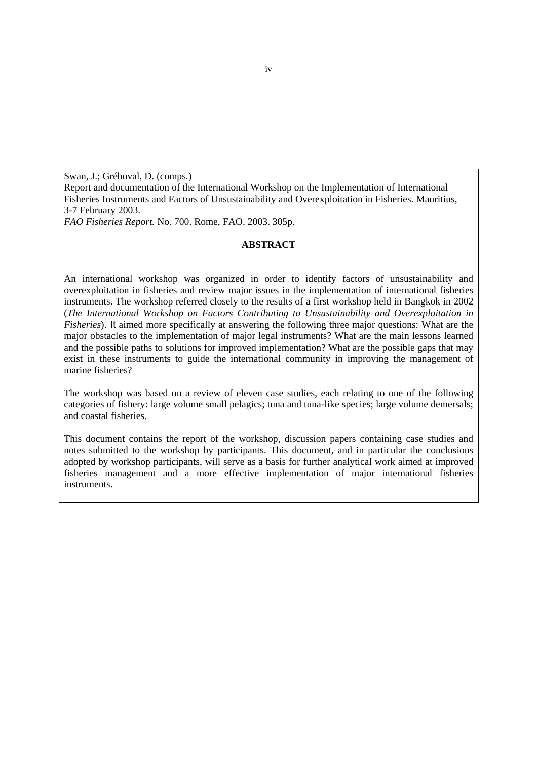Swan, J.; Gréboval, D. (comps.)

Report and documentation of the International Workshop on the Implementation of International Fisheries Instruments and Factors of Unsustainability and Overexploitation in Fisheries. Mauritius, 3-7 February 2003.

*FAO Fisheries Report.* No. 700. Rome, FAO. 2003. 305p.

## **ABSTRACT**

An international workshop was organized in order to identify factors of unsustainability and overexploitation in fisheries and review major issues in the implementation of international fisheries instruments. The workshop referred closely to the results of a first workshop held in Bangkok in 2002 (*The International Workshop on Factors Contributing to Unsustainability and Overexploitation in Fisheries*). It aimed more specifically at answering the following three major questions: What are the major obstacles to the implementation of major legal instruments? What are the main lessons learned and the possible paths to solutions for improved implementation? What are the possible gaps that may exist in these instruments to guide the international community in improving the management of marine fisheries?

The workshop was based on a review of eleven case studies, each relating to one of the following categories of fishery: large volume small pelagics; tuna and tuna-like species; large volume demersals; and coastal fisheries.

This document contains the report of the workshop, discussion papers containing case studies and notes submitted to the workshop by participants. This document, and in particular the conclusions adopted by workshop participants, will serve as a basis for further analytical work aimed at improved fisheries management and a more effective implementation of major international fisheries instruments.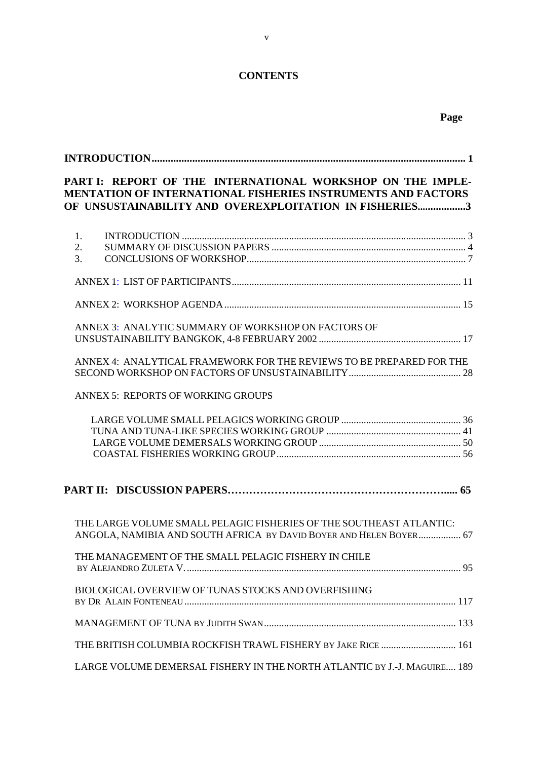# **CONTENTS**

| PART I: REPORT OF THE INTERNATIONAL WORKSHOP ON THE IMPLE-<br><b>MENTATION OF INTERNATIONAL FISHERIES INSTRUMENTS AND FACTORS</b><br>OF UNSUSTAINABILITY AND OVEREXPLOITATION IN FISHERIES3 |  |
|---------------------------------------------------------------------------------------------------------------------------------------------------------------------------------------------|--|
| 1.                                                                                                                                                                                          |  |
| 2.                                                                                                                                                                                          |  |
| 3.                                                                                                                                                                                          |  |
|                                                                                                                                                                                             |  |
|                                                                                                                                                                                             |  |
| ANNEX 3: ANALYTIC SUMMARY OF WORKSHOP ON FACTORS OF                                                                                                                                         |  |
|                                                                                                                                                                                             |  |
| ANNEX 4: ANALYTICAL FRAMEWORK FOR THE REVIEWS TO BE PREPARED FOR THE                                                                                                                        |  |
|                                                                                                                                                                                             |  |
| <b>ANNEX 5: REPORTS OF WORKING GROUPS</b>                                                                                                                                                   |  |
|                                                                                                                                                                                             |  |
|                                                                                                                                                                                             |  |
|                                                                                                                                                                                             |  |
|                                                                                                                                                                                             |  |
|                                                                                                                                                                                             |  |
| THE LARGE VOLUME SMALL PELAGIC FISHERIES OF THE SOUTHEAST ATLANTIC:<br>ANGOLA, NAMIBIA AND SOUTH AFRICA BY DAVID BOYER AND HELEN BOYER 67                                                   |  |
| THE MANAGEMENT OF THE SMALL PELAGIC FISHERY IN CHILE                                                                                                                                        |  |
| BIOLOGICAL OVERVIEW OF TUNAS STOCKS AND OVERFISHING                                                                                                                                         |  |
|                                                                                                                                                                                             |  |
| THE BRITISH COLUMBIA ROCKFISH TRAWL FISHERY BY JAKE RICE  161                                                                                                                               |  |
| LARGE VOLUME DEMERSAL FISHERY IN THE NORTH ATLANTIC BY J.-J. MAGUIRE 189                                                                                                                    |  |